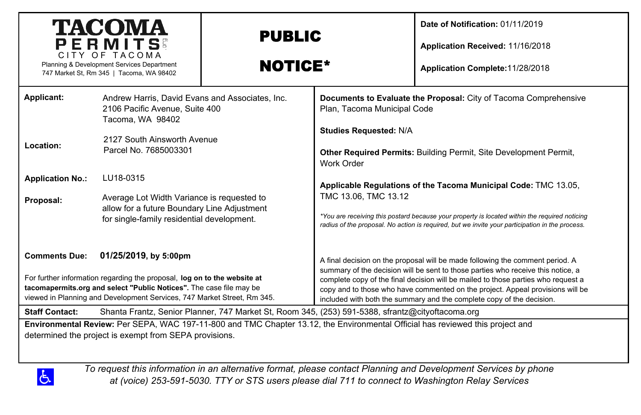| <b>TACOMA</b><br>PERMITS<br>CITY OF TACOMA<br>Planning & Development Services Department<br>747 Market St, Rm 345   Tacoma, WA 98402                                                                                                                                                                                                                                                                                                                                                                                                                                                                 |                                                                                                                                                                                                                                                                                                                       | <b>PUBLIC</b><br><b>NOTICE*</b> |                                                                                                    | Date of Notification: 01/11/2019<br>Application Received: 11/16/2018<br>Application Complete: 11/28/2018                                                                                                                                                                                                                                                                                                          |
|------------------------------------------------------------------------------------------------------------------------------------------------------------------------------------------------------------------------------------------------------------------------------------------------------------------------------------------------------------------------------------------------------------------------------------------------------------------------------------------------------------------------------------------------------------------------------------------------------|-----------------------------------------------------------------------------------------------------------------------------------------------------------------------------------------------------------------------------------------------------------------------------------------------------------------------|---------------------------------|----------------------------------------------------------------------------------------------------|-------------------------------------------------------------------------------------------------------------------------------------------------------------------------------------------------------------------------------------------------------------------------------------------------------------------------------------------------------------------------------------------------------------------|
| Applicant:<br>Location:<br><b>Application No.:</b><br>Proposal:                                                                                                                                                                                                                                                                                                                                                                                                                                                                                                                                      | Andrew Harris, David Evans and Associates, Inc.<br>2106 Pacific Avenue, Suite 400<br>Tacoma, WA 98402<br>2127 South Ainsworth Avenue<br>Parcel No. 7685003301<br>LU18-0315<br>Average Lot Width Variance is requested to<br>allow for a future Boundary Line Adjustment<br>for single-family residential development. |                                 | Plan, Tacoma Municipal Code<br><b>Studies Requested: N/A</b><br>Work Order<br>TMC 13.06, TMC 13.12 | Documents to Evaluate the Proposal: City of Tacoma Comprehensive<br>Other Required Permits: Building Permit, Site Development Permit,<br>Applicable Regulations of the Tacoma Municipal Code: TMC 13.05,<br>*You are receiving this postard because your property is located within the required noticing<br>radius of the proposal. No action is required, but we invite your participation in the process.      |
| <b>Comments Due:</b><br>01/25/2019, by 5:00pm<br>For further information regarding the proposal, log on to the website at<br>tacomapermits.org and select "Public Notices". The case file may be<br>viewed in Planning and Development Services, 747 Market Street, Rm 345.<br>Shanta Frantz, Senior Planner, 747 Market St, Room 345, (253) 591-5388, sfrantz@cityoftacoma.org<br><b>Staff Contact:</b><br>Environmental Review: Per SEPA, WAC 197-11-800 and TMC Chapter 13.12, the Environmental Official has reviewed this project and<br>determined the project is exempt from SEPA provisions. |                                                                                                                                                                                                                                                                                                                       |                                 |                                                                                                    | A final decision on the proposal will be made following the comment period. A<br>summary of the decision will be sent to those parties who receive this notice, a<br>complete copy of the final decision will be mailed to those parties who request a<br>copy and to those who have commented on the project. Appeal provisions will be<br>included with both the summary and the complete copy of the decision. |

*To request this information in an alternative format, please contact Planning and Development Services by phone at (voice) 253-591-5030. TTY or STS users please dial 711 to connect to Washington Relay Services*

 $\Delta$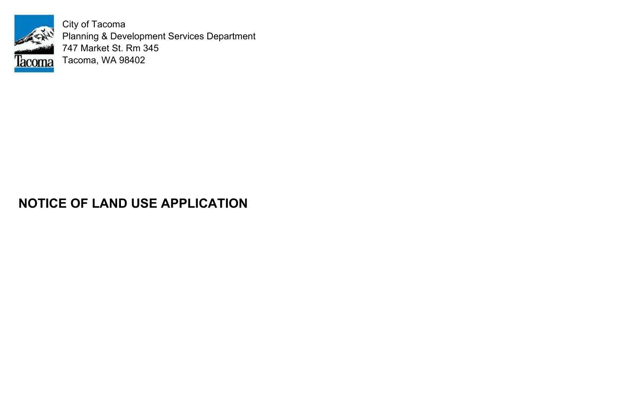

City of Tacoma Planning & Development Services Department 747 Market St. Rm 345 Tacoma, WA 98402

## **NOTICE OF LAND USE APPLICATION**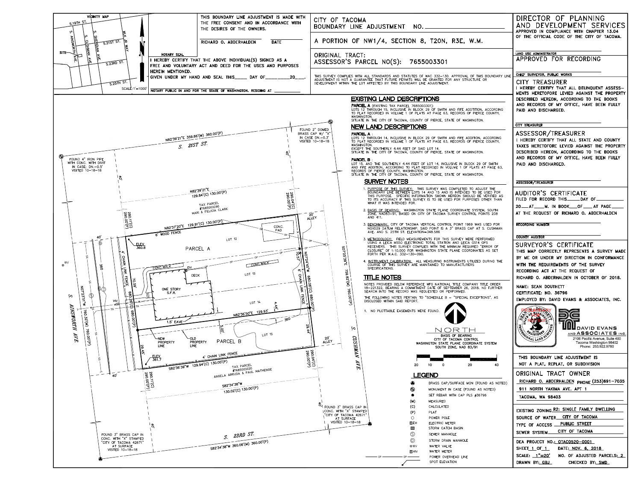

| )F TACOMA<br>ARY LINE ADJUSTMENT NO._______                                                                                                                                                                                                                                                                                                                                                                                                                                                          | DIRECTOR OF PLANNING<br>AND DEVELOPMENT SERVICES<br>APPROVED IN COMPLIANCE WITH CHAPTER 13.04                                                                                                             |  |
|------------------------------------------------------------------------------------------------------------------------------------------------------------------------------------------------------------------------------------------------------------------------------------------------------------------------------------------------------------------------------------------------------------------------------------------------------------------------------------------------------|-----------------------------------------------------------------------------------------------------------------------------------------------------------------------------------------------------------|--|
| TION OF NW1/4, SECTION 8, T20N, R3E, W.M.                                                                                                                                                                                                                                                                                                                                                                                                                                                            | OF THE OFFICIAL CODE OF THE CITY OF TACOMA.                                                                                                                                                               |  |
| AL TRACT:<br>SOR'S PARCEL NO(S): 7655003301                                                                                                                                                                                                                                                                                                                                                                                                                                                          | LAND USE ADMINISTRATOR<br>APPROVED FOR RECORDING                                                                                                                                                          |  |
| Y COMPLIES WITH ALL STANDARDS AND STATUTES OF WAC 332-130. APPROVAL OF THIS BOUNDARY LINE<br>T IS NOT A GUARANTEE THAT FUTURE PERMITS WILL BE GRANTED FOR ANY STRUCTURE OR<br>NT WITHIN THE LOT AFFECTED BY THIS BOUNDARY LINE ADJUSTMENT.                                                                                                                                                                                                                                                           | CHIEF SURVEYOR, PUBLIC WORKS<br><b>CITY TREASURER</b><br>I HEREBY CERTIFY THAT ALL DELINQUENT ASSESS-                                                                                                     |  |
|                                                                                                                                                                                                                                                                                                                                                                                                                                                                                                      | MENTS HERETOFORE LEVIED AGAINST THE PROPERTY                                                                                                                                                              |  |
| <b>EXISTING LAND DESCRIPTIONS</b><br><b>PARCEL A</b> (EXISTING TAX PARCEL 7685003301):                                                                                                                                                                                                                                                                                                                                                                                                               | DESCRIBED HEREON, ACCORDING TO THE BOOKS<br>AND RECORDS OF MY OFFICE, HAVE BEEN FULLY                                                                                                                     |  |
| LOTS 12 THROUGH 15, INCLUSIVE IN BLOCK 29 OF SMITH AND FIFE ADDTITION, ACCORDING<br>TO PLAT RECORDED IN VOLUME 1 OF PLATS AT PAGE 63, RECORDS OF PIERCE COUNTY,<br>WASHINGTON.<br>SITUATE IN THE CITY OF TACOMA, COUNTY OF PIERCE, STATE OF WASHINGTON.                                                                                                                                                                                                                                              | PAID AND DISCHARGED.                                                                                                                                                                                      |  |
| <b>NEW LAND DESCRIPTIONS</b>                                                                                                                                                                                                                                                                                                                                                                                                                                                                         | <b>CITY TREASURER</b>                                                                                                                                                                                     |  |
| <b>PARCEL A:</b><br>LOTS 12 THROUGH 14, INCLUSIVE IN BLOCK 29 OF SMITH AND FIFE ADDITION, ACCORDING<br>TO PLAT RECORDED IN VOLUME 1 OF PLATS AT PAGE 63, RECORDS OF PIERCE COUNTY,<br>WASHINGTON.<br>EXCEPT THE SOUTHERLY 4.44 FEET OF SAID LOT 14.<br>SITUATE IN THE CITY OF TACOMA, COUNTY OF PIERCE, STATE OF WASHINGTON.<br><b>PARCEL B:</b>                                                                                                                                                     | ASSESSOR/TREASURER<br>I HEREBY CERTIFY THAT ALL STATE AND COUNTY<br>TAXES HERETOFORE LEVIED AGAINST THE PROPERTY<br>DESCRIBED HEREON, ACCORDING TO THE BOOKS<br>AND RECORDS OF MY OFFICE, HAVE BEEN FULLY |  |
| LOT 15, AND THE SOUTHERLY 4.44 FEET OF LOT 14, INCLUSIVE IN BLOCK 29 OF SMITH<br>AND FIFE ADDITION, ACCORDING TO PLAT RECORDED IN VOLUME 1 OF PLATS AT PAGE 63,<br>RECORDS OF PIERCE COUNTY, WASHINGTON.<br>SITUATE IN THE CITY OF TACOMA, COUNTY OF PIERCE, STATE OF WASHINGTON.                                                                                                                                                                                                                    | PAID AND DISCHARGED.                                                                                                                                                                                      |  |
| <b>SURVEY NOTES</b>                                                                                                                                                                                                                                                                                                                                                                                                                                                                                  | <b>ASSESSOR/TREASURER</b>                                                                                                                                                                                 |  |
| 1. PURPOSE OF THIS SURVEY: THIS SURVEY WAS COMPLETED TO ADJUST THE<br>BOUNDARY LINE BETWEEN LOTS 14 AND 15 AND IS INTENDED TO BE USED FOR<br>THIS PURPOSE. SPECIFIC INFORMATION SHOWN HEREON SHOULD BE VERIFIED AS<br>TO ITS ACCURACY IF THIS SURVEY IS TO BE USED FOR PURPOSES OTHER THAN<br>WHAT IT WAS INTENDED FOR.<br>2. BASIS OF BEARING: WASHINGTON STATE PLANE COORDINATE SYSTEM, SOUTH<br>ZONE, NAD83-91, BASED ON CITY OF TACOMA SURVEY CONTROL POINTS 208                                 | AUDITOR'S CERTIFICATE<br>FILED FOR RECORD THIS______DAY OF____<br>20 __ AT ____ M. IN BOOK ___ OF ____ AT PAGE __<br>AT THE REQUEST OF RICHARD O. ABDERHALDEN                                             |  |
| AND 411.<br>3. BENCHMARK: CITY OF TACOMA VERTICAL CONTROL POINT 1969 WAS USED FOR<br>NGVD29 DATUM RELATIONSHIP. SAID POINT IS A 3" BRASS CAP AT S. CUSHMAN                                                                                                                                                                                                                                                                                                                                           | <b>RECORDING NUMBER</b>                                                                                                                                                                                   |  |
| AVE. AND S. 25TH ST. ELEVATION=348.586                                                                                                                                                                                                                                                                                                                                                                                                                                                               | <b>COUNTY AUDITOR</b>                                                                                                                                                                                     |  |
| 3. METHODOLOGY: FIELD MEASUREMENTS FOR THIS SURVEY WERE PERFORMED<br>USING A LEICA MS50 ELECTRONIC TOTAL STATION AND LEICA GS14 GPS<br>RECEIVERS. THIS SURVEY COMPLIES WITH THE MINIMUM REQUIRED "ERROR OF<br>SO1'25'<br>CLOSURE" OF 1:10,000 FOR WASHINGTON STATE PLANE COORDINATES AS SET<br>FORTH PER W.A.C. 332-130-090.<br><b>3.62.</b><br>4. INSTRUMENT CALIBRATION: ALL MEASURING INSTRUMENTS UTILIZED DURING THE<br>COURSE OF THIS SURVEY ARE MAINTAINED TO MANUFACTURERS<br>SPECIFICATIONS. | SURVEYOR'S CERTIFICATE<br>THIS MAP CORRECTLY REPRESENTS A SURVEY MADE<br>BY ME OR UNDER MY DIRECTION IN CONFORMANCE<br>WITH THE REQUIREMENTS OF THE SURVEY                                                |  |
| <b>TITLE NOTES</b>                                                                                                                                                                                                                                                                                                                                                                                                                                                                                   | RECORDING ACT AT THE REQUEST OF<br>RICHARD O. ABDERHALDEN IN OCTOBER OF 2018.                                                                                                                             |  |
| 759.82'(M)<br>NOTES PROVIDED BELOW REFERENCE WFG NATIONAL TITLE COMPANY TITLE ORDER<br>18-221322, BEARING A COMMITMENT DATE OF SEPTEMBER 26, 2018. NO FURTHER<br>SEARCH INTO THE RECORD WAS REQUESTED OR PERFORMED.                                                                                                                                                                                                                                                                                  | NAME: SEAN DOUTHETT<br><b>CERTIFICATE: NO. 36796</b>                                                                                                                                                      |  |
| 760.00'(P)<br>THE FOLLOWING NOTES PERTAIN TO "SCHEDULE B - "SPECIAL EXCEPTIONS", AS<br>DISCLOSED WITHIN SAID REPORT.                                                                                                                                                                                                                                                                                                                                                                                 | EMPLOYED BY: DAVID EVANS & ASSOCIATES, INC.                                                                                                                                                               |  |
| 1. NO PLOTTABLE EASEMENTS WERE FOUND.<br>$\tilde{\bm{\omega}}$<br><b>BASIS OF BEARING</b><br>CUS<br>CITY OF TACOMA CONTROL<br>WASHINGTON STATE PLANE COORDINATE SYSTEM<br>SOUTH ZONE, NAD 83/91                                                                                                                                                                                                                                                                                                      | <b>N</b> DAVID EVANS<br>AND ASSOCIATES INC.<br>2106 Pacific Avenue, Suite 400<br>Tacoma Washington 98402<br>Massaccococosesessessessessessan<br>Phone 253 922 9780                                        |  |
| NVWH.<br>$AVE$<br>20<br>40<br>20<br>10<br>0                                                                                                                                                                                                                                                                                                                                                                                                                                                          | THIS BOUNDARY LINE ADJUSTMENT IS<br>NOT A PLAT, REPLAT, OR SUBDIVISION                                                                                                                                    |  |
|                                                                                                                                                                                                                                                                                                                                                                                                                                                                                                      | ORIGINAL TRACT OWNER                                                                                                                                                                                      |  |
| <b>LEGEND</b>                                                                                                                                                                                                                                                                                                                                                                                                                                                                                        | RICHARD O. ABDERHALDEN PHONE (253)691-7035                                                                                                                                                                |  |
| BRASS CAP/SURFACE MON (FOUND AS NOTED)<br>$\bm{\circledcirc}$<br>MONUMENT IN CASE (FOUND AS NOTED)                                                                                                                                                                                                                                                                                                                                                                                                   | 911 NORTH YAKIMA AVE. APT 1                                                                                                                                                                               |  |
| SET REBAR WITH CAP PLS #36796                                                                                                                                                                                                                                                                                                                                                                                                                                                                        | TACOMA, WA 98403                                                                                                                                                                                          |  |
| (M)<br><b>MEASURED</b>                                                                                                                                                                                                                                                                                                                                                                                                                                                                               |                                                                                                                                                                                                           |  |
| (C)<br>CALCULATED<br>D 3" BRASS CAP IN<br>. WITH "X" STAMPED<br>(P)<br>PLAT                                                                                                                                                                                                                                                                                                                                                                                                                          | EXISTING ZONING R2: SINGLE FAMILY DWELLING                                                                                                                                                                |  |
| OF TACOMA 42671"<br>$\bigcirc$<br>POWER POLE<br>AT SURFACE<br>SITED 10-18-18                                                                                                                                                                                                                                                                                                                                                                                                                         | SOURCE OF WATER_CITY OF TACOMA                                                                                                                                                                            |  |
| ⊠Ем<br>ELECTRIC METER<br>STORM CATCH BASIN<br>$\Box$                                                                                                                                                                                                                                                                                                                                                                                                                                                 | TYPE OF ACCESS PUBLIC STREET                                                                                                                                                                              |  |
| $\circledS$<br>SEWER MANHOLE                                                                                                                                                                                                                                                                                                                                                                                                                                                                         | CITY OF TACOMA<br>SEWER SYSTEM_                                                                                                                                                                           |  |
| $\circled{D}$<br>STORM DRAIN MANHOLE                                                                                                                                                                                                                                                                                                                                                                                                                                                                 | DEA PROJECT NO.: 0TAC0520-0001                                                                                                                                                                            |  |
| ⊗WV<br>WATER VALVE<br>WATER METER<br>$\times$ WM                                                                                                                                                                                                                                                                                                                                                                                                                                                     | SHEET_1_OF_1_<br>DATE: NOV. 6, 2018                                                                                                                                                                       |  |
| POWER OVERHEAD LINE<br>SPOT ELEVATION                                                                                                                                                                                                                                                                                                                                                                                                                                                                | SCALE: $1"=20'$<br>NO. OF ADJUSTED PARCELS: 2<br>DRAWN BY: GBJ<br>CHECKED BY: SMD                                                                                                                         |  |
|                                                                                                                                                                                                                                                                                                                                                                                                                                                                                                      |                                                                                                                                                                                                           |  |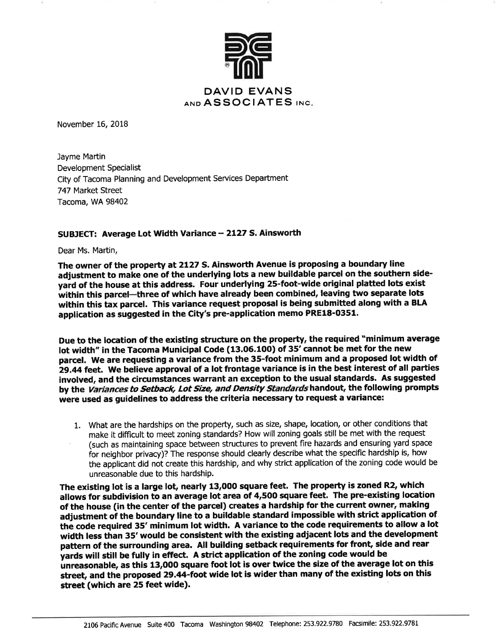

November 16, 2018

Jayme Martin Development Specialist City of Tacoma Planning and Development Services Department 747 Market Street Tacoma, WA 98402

## SUBJECT: Average Lot Width Variance - 2127 S. Ainsworth

Dear Ms. Martin,

The owner of the property at 2127 S. Ainsworth Avenue is proposing a boundary line adjustment to make one of the underlying lots a new buildable parcel on the southern sideyard of the house at this address. Four underlying 25-foot-wide original platted lots exist within this parcel-three of which have already been combined, leaving two separate lots within this tax parcel. This variance request proposal is being submitted along with a BLA application as suggested in the City's pre-application memo PRE18-0351.

Due to the location of the existing structure on the property, the required "minimum average lot width" in the Tacoma Municipal Code (13.06.100) of 35' cannot be met for the new parcel. We are requesting a variance from the 35-foot minimum and a proposed lot width of 29.44 feet. We believe approval of a lot frontage variance is in the best interest of all parties involved, and the circumstances warrant an exception to the usual standards. As suggested by the Variances to Setback, Lot Size, and Density Standards handout, the following prompts were used as quidelines to address the criteria necessary to request a variance:

1. What are the hardships on the property, such as size, shape, location, or other conditions that make it difficult to meet zoning standards? How will zoning goals still be met with the request (such as maintaining space between structures to prevent fire hazards and ensuring yard space for neighbor privacy)? The response should clearly describe what the specific hardship is, how the applicant did not create this hardship, and why strict application of the zoning code would be unreasonable due to this hardship.

The existing lot is a large lot, nearly 13,000 square feet. The property is zoned R2, which allows for subdivision to an average lot area of 4,500 square feet. The pre-existing location of the house (in the center of the parcel) creates a hardship for the current owner, making adjustment of the boundary line to a buildable standard impossible with strict application of the code required 35' minimum lot width. A variance to the code requirements to allow a lot width less than 35' would be consistent with the existing adjacent lots and the development pattern of the surrounding area. All building setback requirements for front, side and rear yards will still be fully in effect. A strict application of the zoning code would be unreasonable, as this 13,000 square foot lot is over twice the size of the average lot on this street, and the proposed 29.44-foot wide lot is wider than many of the existing lots on this street (which are 25 feet wide).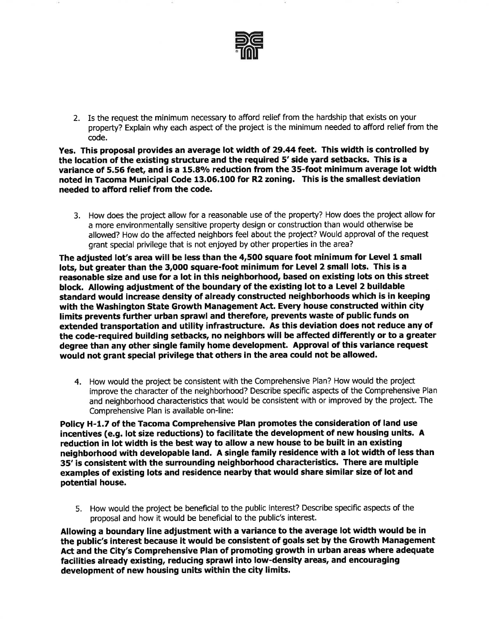

2. Is the request the minimum necessary to afford relief from the hardship that exists on your property? Explain why each aspect of the project is the minimum needed to afford relief from the code.

Yes. This proposal provides an average lot width of 29.44 feet. This width is controlled by the location of the existing structure and the required 5' side yard setbacks. This is a variance of 5.56 feet, and is a 15.8% reduction from the 35-foot minimum average lot width noted in Tacoma Municipal Code 13.06.100 for R2 zoning. This is the smallest deviation needed to afford relief from the code.

3. How does the project allow for a reasonable use of the property? How does the project allow for a more environmentally sensitive property design or construction than would otherwise be allowed? How do the affected neighbors feel about the project? Would approval of the request grant special privilege that is not enjoyed by other properties in the area?

The adjusted lot's area will be less than the 4,500 square foot minimum for Level 1 small lots, but greater than the 3,000 square-foot minimum for Level 2 small lots. This is a reasonable size and use for a lot in this neighborhood, based on existing lots on this street block. Allowing adjustment of the boundary of the existing lot to a Level 2 buildable standard would increase density of already constructed neighborhoods which is in keeping with the Washington State Growth Management Act. Every house constructed within city limits prevents further urban sprawl and therefore, prevents waste of public funds on extended transportation and utility infrastructure. As this deviation does not reduce any of the code-required building setbacks, no neighbors will be affected differently or to a greater degree than any other single family home development. Approval of this variance request would not grant special privilege that others in the area could not be allowed.

4. How would the project be consistent with the Comprehensive Plan? How would the project improve the character of the neighborhood? Describe specific aspects of the Comprehensive Plan and neighborhood characteristics that would be consistent with or improved by the project. The Comprehensive Plan is available on-line:

Policy H-1.7 of the Tacoma Comprehensive Plan promotes the consideration of land use incentives (e.g. lot size reductions) to facilitate the development of new housing units. A reduction in lot width is the best way to allow a new house to be built in an existing neighborhood with developable land. A single family residence with a lot width of less than 35' is consistent with the surrounding neighborhood characteristics. There are multiple examples of existing lots and residence nearby that would share similar size of lot and potential house.

5. How would the project be beneficial to the public interest? Describe specific aspects of the proposal and how it would be beneficial to the public's interest.

Allowing a boundary line adjustment with a variance to the average lot width would be in the public's interest because it would be consistent of goals set by the Growth Management Act and the City's Comprehensive Plan of promoting growth in urban areas where adequate facilities already existing, reducing sprawl into low-density areas, and encouraging development of new housing units within the city limits.